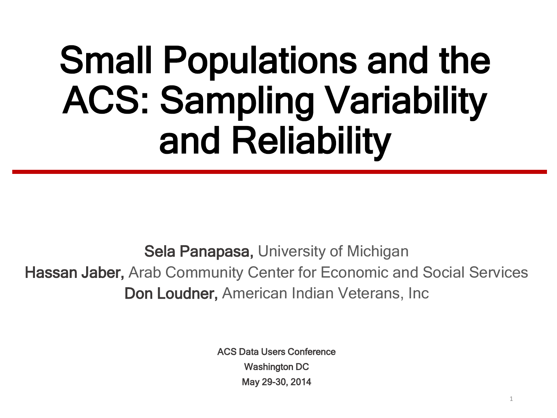### Small Populations and the ACS: Sampling Variability and Reliability

Sela Panapasa, University of Michigan Hassan Jaber, Arab Community Center for Economic and Social Services Don Loudner, American Indian Veterans, Inc

> ACS Data Users Conference Washington DC May 29-30, 2014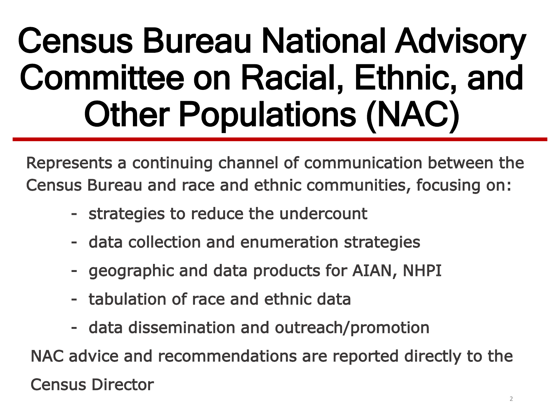### Census Bureau National Advisory Committee on Racial, Ethnic, and Other Populations (NAC)

Represents a continuing channel of communication between the Census Bureau and race and ethnic communities, focusing on:

- strategies to reduce the undercount
- data collection and enumeration strategies
- geographic and data products for AIAN, NHPI
- tabulation of race and ethnic data
- data dissemination and outreach/promotion

 NAC advice and recommendations are reported directly to the Census Director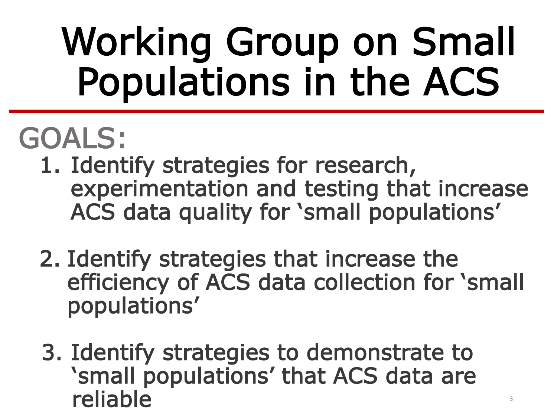## Working Group on Small Populations in the ACS

### GOALS:

- 1. Identify strategies for research, experimentation and testing that increase ACS data quality for 'small populations'
- 2. Identify strategies that increase the efficiency of ACS data collection for 'small populations'
- 3. Identify strategies to demonstrate to 'small populations' that ACS data are reliable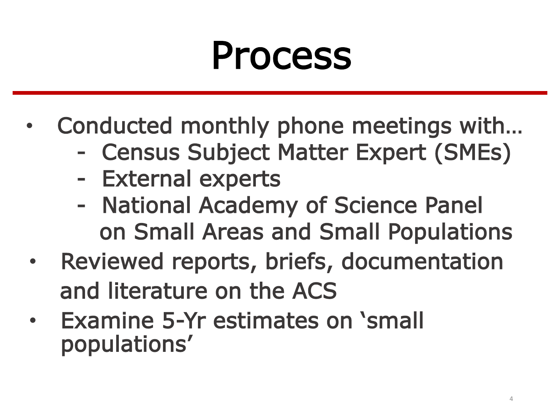### Process

- Conducted monthly phone meetings with…
	- Census Subject Matter Expert (SMEs)
	- External experts
	- National Academy of Science Panel on Small Areas and Small Populations
- Reviewed reports, briefs, documentation and literature on the ACS
- Examine 5-Yr estimates on 'small populations'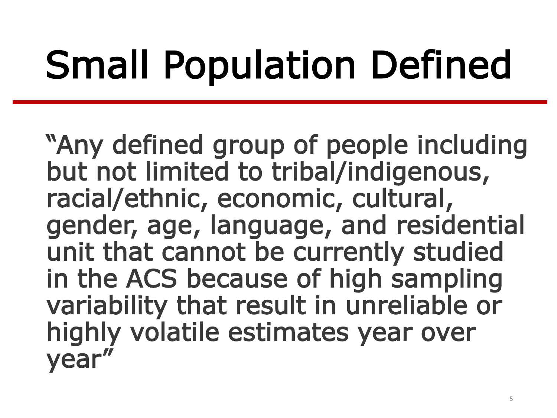# Small Population Defined

"Any defined group of people including but not limited to tribal/indigenous, racial/ethnic, economic, cultural, gender, age, language, and residential unit that cannot be currently studied in the ACS because of high sampling variability that result in unreliable or highly volatile estimates year over year"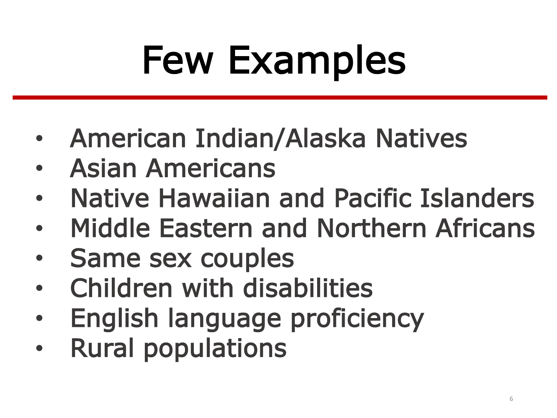# Few Examples

- American Indian/Alaska Natives
- Asian Americans
- Native Hawaiian and Pacific Islanders
- Middle Eastern and Northern Africans
- Same sex couples
- Children with disabilities
- English language proficiency
- Rural populations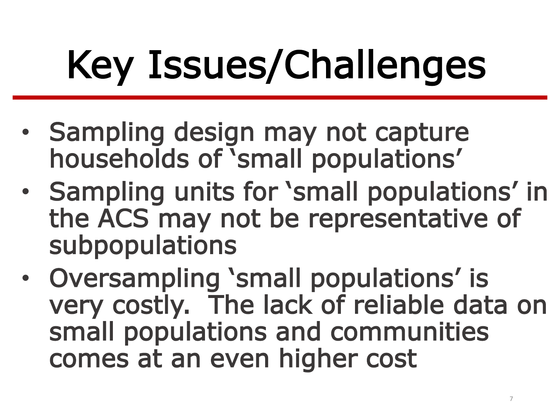# Key Issues/Challenges

- Sampling design may not capture households of 'small populations'
- Sampling units for 'small populations' in the ACS may not be representative of subpopulations
- Oversampling 'small populations' is very costly. The lack of reliable data on small populations and communities comes at an even higher cost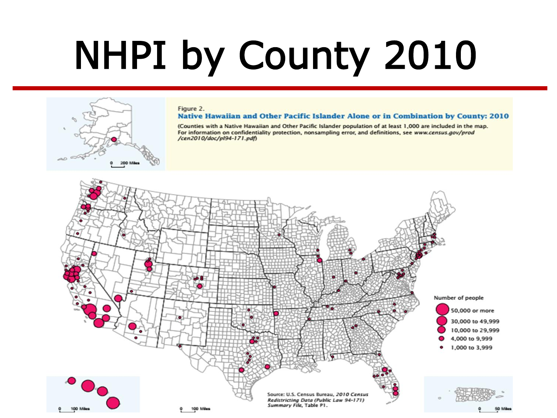# NHPI by County 2010

### Figure 2.

### Native Hawaiian and Other Pacific Islander Alone or in Combination by County: 2010

(Counties with a Native Hawaiian and Other Pacific Islander population of at least 1,000 are included in the map. For information on confidentiality protection, nonsampling error, and definitions, see www.census.gov/prod /cen2010/doc/pl94-171.pdf)

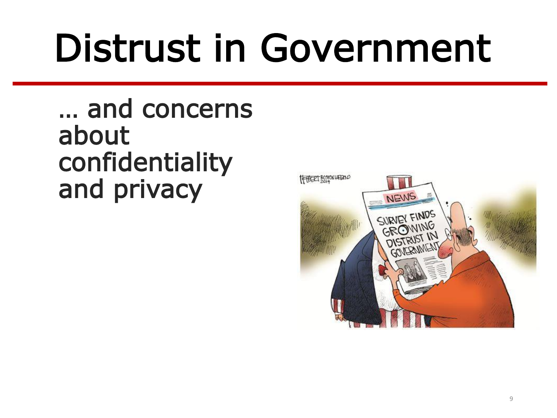# Distrust in Government

… and concerns about confidentiality and privacy

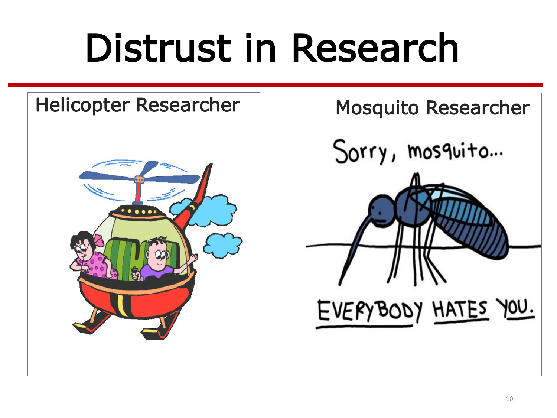### Distrust in Research



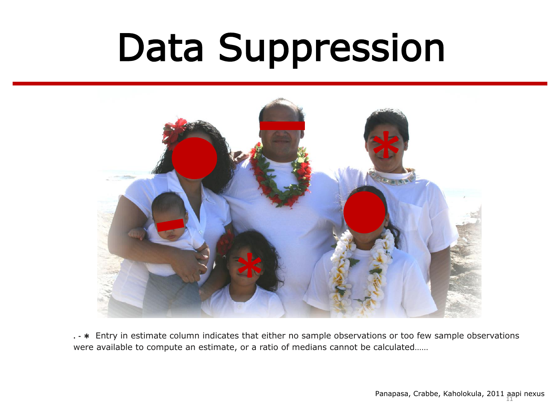## Data Suppression



**. - \*** Entry in estimate column indicates that either no sample observations or too few sample observations were available to compute an estimate, or a ratio of medians cannot be calculated……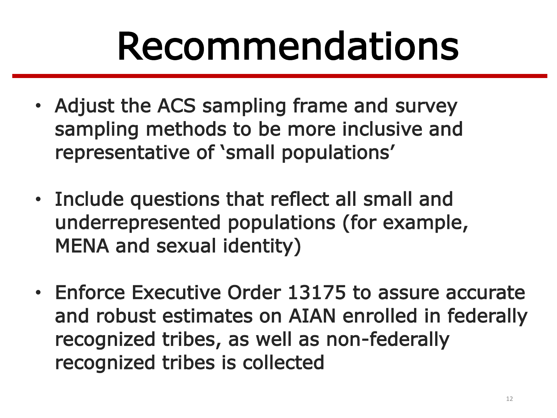## Recommendations

- Adjust the ACS sampling frame and survey sampling methods to be more inclusive and representative of 'small populations'
- Include questions that reflect all small and underrepresented populations (for example, MENA and sexual identity)
- Enforce Executive Order 13175 to assure accurate and robust estimates on AIAN enrolled in federally recognized tribes, as well as non-federally recognized tribes is collected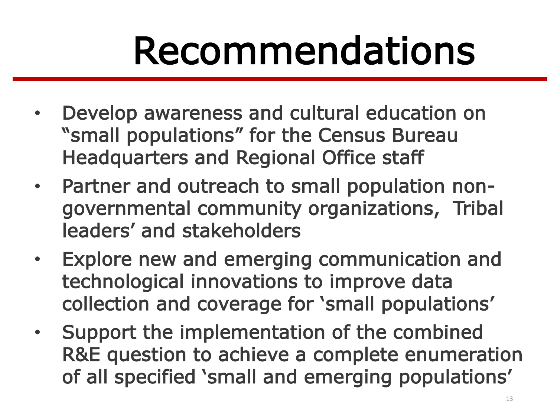## Recommendations

- Develop awareness and cultural education on "small populations" for the Census Bureau Headquarters and Regional Office staff
- Partner and outreach to small population nongovernmental community organizations, Tribal leaders' and stakeholders
- Explore new and emerging communication and technological innovations to improve data collection and coverage for 'small populations'
- Support the implementation of the combined R&E question to achieve a complete enumeration of all specified 'small and emerging populations'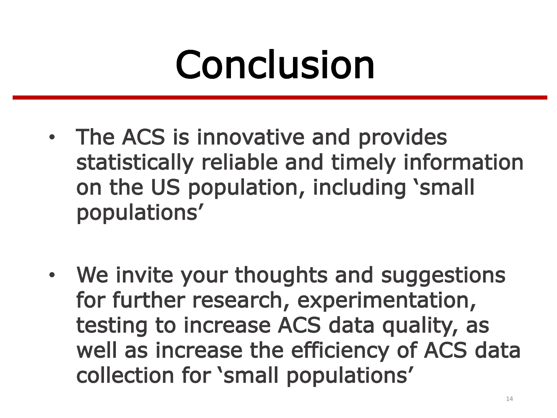### Conclusion

- The ACS is innovative and provides statistically reliable and timely information on the US population, including 'small populations'
- We invite your thoughts and suggestions for further research, experimentation, testing to increase ACS data quality, as well as increase the efficiency of ACS data collection for 'small populations'